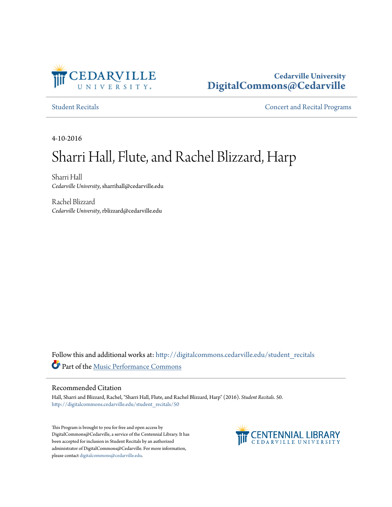

# **Cedarville University [DigitalCommons@Cedarville](http://digitalcommons.cedarville.edu?utm_source=digitalcommons.cedarville.edu%2Fstudent_recitals%2F50&utm_medium=PDF&utm_campaign=PDFCoverPages)**

[Student Recitals](http://digitalcommons.cedarville.edu/student_recitals?utm_source=digitalcommons.cedarville.edu%2Fstudent_recitals%2F50&utm_medium=PDF&utm_campaign=PDFCoverPages) **Student Recital Programs** 

4-10-2016

# Sharri Hall, Flute, and Rachel Blizzard, Harp

Sharri Hall *Cedarville University*, sharrihall@cedarville.edu

Rachel Blizzard *Cedarville University*, rblizzard@cedarville.edu

Follow this and additional works at: [http://digitalcommons.cedarville.edu/student\\_recitals](http://digitalcommons.cedarville.edu/student_recitals?utm_source=digitalcommons.cedarville.edu%2Fstudent_recitals%2F50&utm_medium=PDF&utm_campaign=PDFCoverPages) Part of the [Music Performance Commons](http://network.bepress.com/hgg/discipline/1128?utm_source=digitalcommons.cedarville.edu%2Fstudent_recitals%2F50&utm_medium=PDF&utm_campaign=PDFCoverPages)

#### Recommended Citation

Hall, Sharri and Blizzard, Rachel, "Sharri Hall, Flute, and Rachel Blizzard, Harp" (2016). *Student Recitals*. 50. [http://digitalcommons.cedarville.edu/student\\_recitals/50](http://digitalcommons.cedarville.edu/student_recitals/50?utm_source=digitalcommons.cedarville.edu%2Fstudent_recitals%2F50&utm_medium=PDF&utm_campaign=PDFCoverPages)

This Program is brought to you for free and open access by DigitalCommons@Cedarville, a service of the Centennial Library. It has been accepted for inclusion in Student Recitals by an authorized administrator of DigitalCommons@Cedarville. For more information, please contact [digitalcommons@cedarville.edu.](mailto:digitalcommons@cedarville.edu)